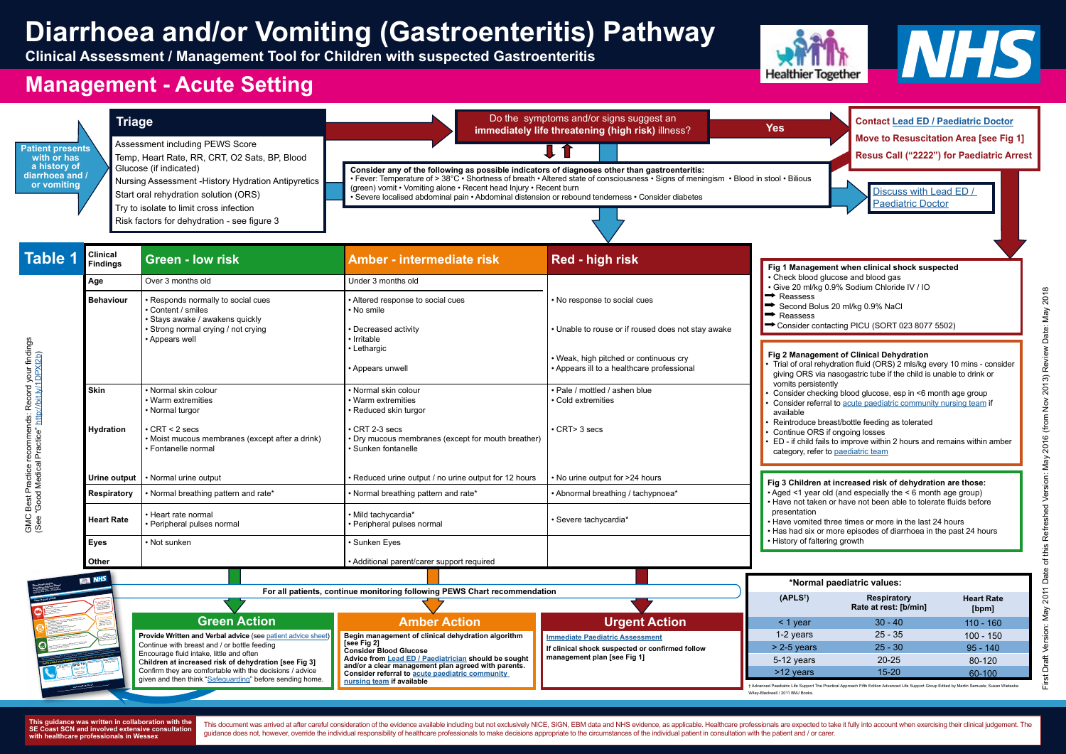**[see Fig 2] Consider Blood Glucose Advice from [Lead ED / Paediatrician](http://www.what0-18.nhs.uk/health-professionals/primary-care-staff/contact-details-referraladvice-acute-paediatric-community-nursing-team/) should be sought and/or a clear management plan agreed with parents. Consider referral to [acute paediatric community](http://www.what0-18.nhs.uk/health-professionals/primary-care-staff/contact-details-referraladvice-acute-paediatric-community-nursing-team/)  [nursing team](http://www.what0-18.nhs.uk/health-professionals/primary-care-staff/contact-details-referraladvice-acute-paediatric-community-nursing-team/) if available** Continue with breast and / or bottle feeding Encourage fluid intake, little and often C**hildren at increased risk of dehydration [see Fig 3]**  Confirm they are comfortable with the decisions / advice given and then think "[Safeguarding](http://www.what0-18.nhs.uk/health-professionals/primary-care-staff/safeguarding/)" before sending home. **Some useful phone numbers** (You may and to add some numbers to her too) and some numbers on here too) and the company free tool and the company free states of the company free states of the company free states of the comp **This gu[idance is written by healthcare professionals from across Hampshire, Dorset and the Isle of Wight](http://www.what0-18.nhs.uk/health-professionals/front-line-hospital-staff/safety-netting-parents/diarrhoea-and-vomiting/)**<br>This guidance is a guidance to account the professional contract and the Isla of Wight Law **For online advice: Healthier Together www.what0-18.nhs.uk (available 24 hrs / days a week) Acute Community Nursing Team Children's Ward** ...................................... Most children with diarrhoea and / or vomiting get better very quickly, but some children can get word.<br>Most children with diarrhoea and / or vomiting get better very quickly but some children can get word. You nee<br>You nee regular<br>work your complete given to your child and follow the advice given to your child and for a fund for an extend<br>work you by your health and when the advice given to your health care professional and your health on th

**This guidance was written in collaboration with the SE Coast SCN and involved extensive consultation with healthcare professionals in Wessex**

**management plan [see Fig 1]**



**www.what0-18.nhs.u<sup>k</sup>**

**GP Surgery** (make a note of number ....................................... **NHS 111 dial 111** (available 24 hrs -

This document was arrived at after careful consideration of the evidence available including but not exclusively NICE, SIGN, EBM data and NHS evidence, as applicable. Healthcare professionals are expected to take it fully guidance does not, however, override the individual responsibility of healthcare professionals to make decisions appropriate to the circumstances of the individual patient in consultation with the patient and / or carer.

|                                                                                                                       |                                                                                                   |                                                                                                                                                                                                                  | <b>Diarrhoea and/or Vomiting (Gastroenteritis) Pathway</b><br>Clinical Assessment / Management Tool for Children with suspected Gastroenteritis                                                                                                                                                                                                                                                                                                                         |                                                                                                                                                                            | <b>Healthier Together</b>                                                                                                                                                                                                                                                                                                                                                                                                                                                                                                                                                                                                                                                                                                                                                                                                                                                                                                                                                                                                                                                                                                                                                          |                                                          | WES                                       |  |
|-----------------------------------------------------------------------------------------------------------------------|---------------------------------------------------------------------------------------------------|------------------------------------------------------------------------------------------------------------------------------------------------------------------------------------------------------------------|-------------------------------------------------------------------------------------------------------------------------------------------------------------------------------------------------------------------------------------------------------------------------------------------------------------------------------------------------------------------------------------------------------------------------------------------------------------------------|----------------------------------------------------------------------------------------------------------------------------------------------------------------------------|------------------------------------------------------------------------------------------------------------------------------------------------------------------------------------------------------------------------------------------------------------------------------------------------------------------------------------------------------------------------------------------------------------------------------------------------------------------------------------------------------------------------------------------------------------------------------------------------------------------------------------------------------------------------------------------------------------------------------------------------------------------------------------------------------------------------------------------------------------------------------------------------------------------------------------------------------------------------------------------------------------------------------------------------------------------------------------------------------------------------------------------------------------------------------------|----------------------------------------------------------|-------------------------------------------|--|
| <b>Management - Acute Setting</b>                                                                                     |                                                                                                   |                                                                                                                                                                                                                  |                                                                                                                                                                                                                                                                                                                                                                                                                                                                         |                                                                                                                                                                            |                                                                                                                                                                                                                                                                                                                                                                                                                                                                                                                                                                                                                                                                                                                                                                                                                                                                                                                                                                                                                                                                                                                                                                                    |                                                          |                                           |  |
| <b>Patient presents</b><br>with or has                                                                                | <b>Triage</b><br>Assessment including PEWS Score<br>Temp, Heart Rate, RR, CRT, O2 Sats, BP, Blood |                                                                                                                                                                                                                  | Do the symptoms and/or signs suggest an<br>immediately life threatening (high risk) illness?                                                                                                                                                                                                                                                                                                                                                                            |                                                                                                                                                                            | <b>Contact Lead ED / Paediatric Doctor</b><br><b>Yes</b><br>Move to Resuscitation Area [see Fig 1]<br>Resus Call ("2222") for Paediatric Arrest                                                                                                                                                                                                                                                                                                                                                                                                                                                                                                                                                                                                                                                                                                                                                                                                                                                                                                                                                                                                                                    |                                                          |                                           |  |
| a history of<br>diarrhoea and /<br>or vomiting                                                                        |                                                                                                   | Glucose (if indicated)<br>Nursing Assessment - History Hydration Antipyretics<br>Start oral rehydration solution (ORS)<br>Try to isolate to limit cross infection<br>Risk factors for dehydration - see figure 3 | Consider any of the following as possible indicators of diagnoses other than gastroenteritis:<br>• Fever: Temperature of > 38°C • Shortness of breath • Altered state of consciousness • Signs of meningism • Blood in stool • Bilious<br>(green) vomit • Vomiting alone • Recent head Injury • Recent burn<br>Discuss with Lead ED /<br>· Severe localised abdominal pain • Abdominal distension or rebound tenderness • Consider diabetes<br><b>Paediatric Doctor</b> |                                                                                                                                                                            |                                                                                                                                                                                                                                                                                                                                                                                                                                                                                                                                                                                                                                                                                                                                                                                                                                                                                                                                                                                                                                                                                                                                                                                    |                                                          |                                           |  |
|                                                                                                                       |                                                                                                   |                                                                                                                                                                                                                  |                                                                                                                                                                                                                                                                                                                                                                                                                                                                         |                                                                                                                                                                            |                                                                                                                                                                                                                                                                                                                                                                                                                                                                                                                                                                                                                                                                                                                                                                                                                                                                                                                                                                                                                                                                                                                                                                                    |                                                          |                                           |  |
| <b>Table 1</b>                                                                                                        | <b>Clinical</b><br><b>Findings</b>                                                                | <b>Green - low risk</b>                                                                                                                                                                                          | <b>Amber - intermediate risk</b>                                                                                                                                                                                                                                                                                                                                                                                                                                        | Red - high risk                                                                                                                                                            |                                                                                                                                                                                                                                                                                                                                                                                                                                                                                                                                                                                                                                                                                                                                                                                                                                                                                                                                                                                                                                                                                                                                                                                    | Fig 1 Management when clinical shock suspected           |                                           |  |
| Record your findings<br>://bit.ly/1DPXI2b)<br>ط<br>GMC Best Practice recommends:<br>(See "Good Medical Practice" http | Age<br><b>Behaviour</b>                                                                           | Over 3 months old<br>· Responds normally to social cues<br>Content / smiles<br>· Stays awake / awakens quickly<br>· Strong normal crying / not crying<br>• Appears well                                          | Under 3 months old<br>• Altered response to social cues<br>• No smile<br>• Decreased activity<br>• Irritable<br>• Lethargic<br>• Appears unwell                                                                                                                                                                                                                                                                                                                         | • No response to social cues<br>• Unable to rouse or if roused does not stay awake<br>• Weak, high pitched or continuous cry<br>• Appears ill to a healthcare professional | • Check blood glucose and blood gas<br>· Give 20 ml/kg 0.9% Sodium Chloride IV / IO<br>$\rightarrow$ Reassess<br>Second Bolus 20 ml/kg 0.9% NaCl<br>$\rightarrow$ Reassess<br>Consider contacting PICU (SORT 023 8077 5502)<br>Fig 2 Management of Clinical Dehydration<br>Trial of oral rehydration fluid (ORS) 2 mls/kg every 10 mins - consider<br>giving ORS via nasogastric tube if the child is unable to drink or<br>vomits persistently<br>Consider checking blood glucose, esp in <6 month age group<br>Consider referral to acute paediatric community nursing team if<br>available<br>Reintroduce breast/bottle feeding as tolerated<br>Continue ORS if ongoing losses<br>ED - if child fails to improve within 2 hours and remains within amber<br>category, refer to paediatric team<br>Fig 3 Children at increased risk of dehydration are those:<br>• Aged <1 year old (and especially the < 6 month age group)<br>• Have not taken or have not been able to tolerate fluids before<br>presentation<br>• Have vomited three times or more in the last 24 hours<br>• Has had six or more episodes of diarrhoea in the past 24 hours<br>• History of faltering growth |                                                          |                                           |  |
|                                                                                                                       | <b>Skin</b><br><b>Hydration</b>                                                                   | • Normal skin colour<br>• Warm extremities<br>• Normal turgor<br>$\cdot$ CRT < 2 secs<br>· Moist mucous membranes (except after a drink)<br>· Fontanelle normal                                                  | • Normal skin colour<br><b>Warm extremities</b><br>• Reduced skin turgor<br>CRT 2-3 secs<br>• Dry mucous membranes (except for mouth breather)<br>Sunken fontanelle                                                                                                                                                                                                                                                                                                     | · Pale / mottled / ashen blue<br>Cold extremities<br>$\cdot$ CRT > 3 secs                                                                                                  |                                                                                                                                                                                                                                                                                                                                                                                                                                                                                                                                                                                                                                                                                                                                                                                                                                                                                                                                                                                                                                                                                                                                                                                    |                                                          |                                           |  |
|                                                                                                                       | Urine output<br><b>Respiratory</b>                                                                | • Normal urine output<br>• Normal breathing pattern and rate*                                                                                                                                                    | Reduced urine output / no urine output for 12 hours<br>Normal breathing pattern and rate*                                                                                                                                                                                                                                                                                                                                                                               | • No urine output for >24 hours<br>• Abnormal breathing / tachypnoea*                                                                                                      |                                                                                                                                                                                                                                                                                                                                                                                                                                                                                                                                                                                                                                                                                                                                                                                                                                                                                                                                                                                                                                                                                                                                                                                    |                                                          |                                           |  |
|                                                                                                                       | <b>Heart Rate</b>                                                                                 | • Heart rate normal<br>· Peripheral pulses normal                                                                                                                                                                | · Mild tachycardia*<br>· Peripheral pulses normal                                                                                                                                                                                                                                                                                                                                                                                                                       | · Severe tachycardia*                                                                                                                                                      |                                                                                                                                                                                                                                                                                                                                                                                                                                                                                                                                                                                                                                                                                                                                                                                                                                                                                                                                                                                                                                                                                                                                                                                    |                                                          |                                           |  |
|                                                                                                                       | <b>Eyes</b><br>Other                                                                              | • Not sunken                                                                                                                                                                                                     | Sunken Eyes<br>• Additional parent/carer support required                                                                                                                                                                                                                                                                                                                                                                                                               |                                                                                                                                                                            |                                                                                                                                                                                                                                                                                                                                                                                                                                                                                                                                                                                                                                                                                                                                                                                                                                                                                                                                                                                                                                                                                                                                                                                    |                                                          |                                           |  |
|                                                                                                                       | <b>EL NHS</b>                                                                                     |                                                                                                                                                                                                                  |                                                                                                                                                                                                                                                                                                                                                                                                                                                                         |                                                                                                                                                                            | *Normal paediatric values:                                                                                                                                                                                                                                                                                                                                                                                                                                                                                                                                                                                                                                                                                                                                                                                                                                                                                                                                                                                                                                                                                                                                                         |                                                          |                                           |  |
|                                                                                                                       |                                                                                                   | <b>Green Action</b>                                                                                                                                                                                              | For all patients, continue monitoring following PEWS Chart recommendation<br><b>Amber Action</b>                                                                                                                                                                                                                                                                                                                                                                        | <b>Urgent Action</b>                                                                                                                                                       | $(APLS^{\dagger})$<br>$<$ 1 year                                                                                                                                                                                                                                                                                                                                                                                                                                                                                                                                                                                                                                                                                                                                                                                                                                                                                                                                                                                                                                                                                                                                                   | <b>Respiratory</b><br>Rate at rest: [b/min]<br>$30 - 40$ | <b>Heart Rate</b><br>[bpm]<br>$110 - 160$ |  |
|                                                                                                                       |                                                                                                   | Provide Written and Verbal advice (see patient advice sheet)<br>Continue with breast and / or bottle feeding                                                                                                     | Begin management of clinical dehydration algorithm<br>[see Fig 2]<br>Consider Blood Glucose                                                                                                                                                                                                                                                                                                                                                                             | <b>Immediate Paediatric Assessment</b><br>If clinical shock suspected or confirmed follow                                                                                  | 1-2 years<br>$> 2-5$ years                                                                                                                                                                                                                                                                                                                                                                                                                                                                                                                                                                                                                                                                                                                                                                                                                                                                                                                                                                                                                                                                                                                                                         | $25 - 35$<br>$25 - 30$                                   | $100 - 150$<br>$95 - 140$                 |  |

† Advanced Paediatric Life Support The Practical Approach Fifth Edition Advanced Life Support Group Edited by Martin Samuels; Susan Wieteska Wiley-Blackwell / 2011 BMJ Books.

5-12 years >12 years 20-25 15-20

80-120 60-100